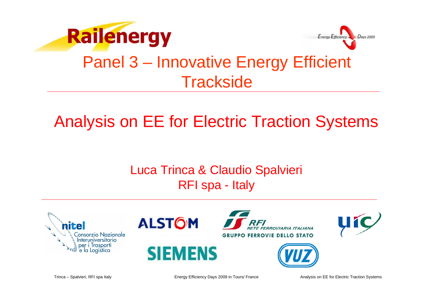



## Panel 3 – Innovative Energy Efficient **Trackside**

# Analysis on EE for Electric Traction Systems

### Luca Trinca & Claudio Spalvieri RFI spa - Italy













Trinca – Spalvieri, RFI spa Italy

Energy Efficiency Days 2009 in Tours/ France

Analysis on EE for Electric Traction Systems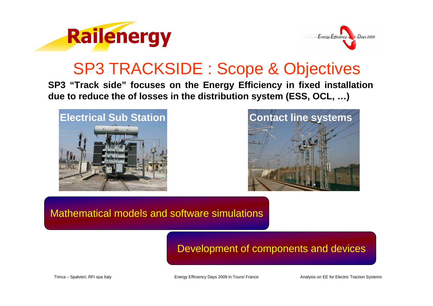



### SP3 TRACKSIDE : Scope & Objectives

**SP3 "Track side" focuses on the Energy Efficiency in fixed installation due to reduce the of losses in the distribution system (ESS, OCL, …)**





Mathematical models and software simulations

#### Development of components and devices

Trinca – Spalvieri, RFI spa Italy

Energy Efficiency Days 2009 in Tours/ France

Analysis on EE for Electric Traction Systems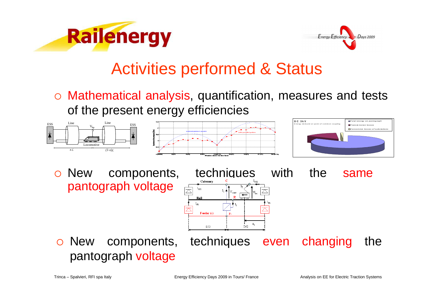



# Activities performed & Status

 Mathematical analysis, quantification, measures and tests of the present energy efficiencies







o New components, techniques with the same pantograph voltage



 $\bigcirc$  New components, techniques even changing the pantograph voltage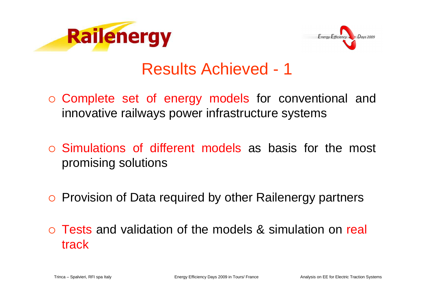



### Results Achieved - 1

- o Complete set of energy models for conventional and innovative railways power infrastructure systems
- Simulations of different models as basis for the most promising solutions
- o Provision of Data required by other Railenergy partners
- o Tests and validation of the models & simulation on real track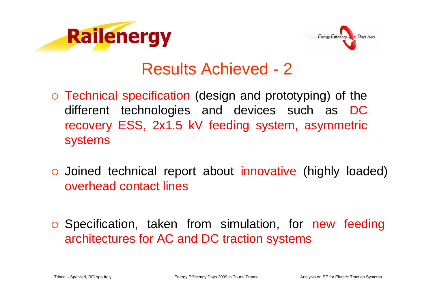



### Results Achieved - 2

- o Technical specification (design and prototyping) of the different technologies and devices such as DC recovery ESS, 2x1.5 kV feeding system, asymmetric systems
- Joined technical report about innovative (highly loaded) overhead contact lines
- o Specification, taken from simulation, for new feeding architectures for AC and DC traction systems